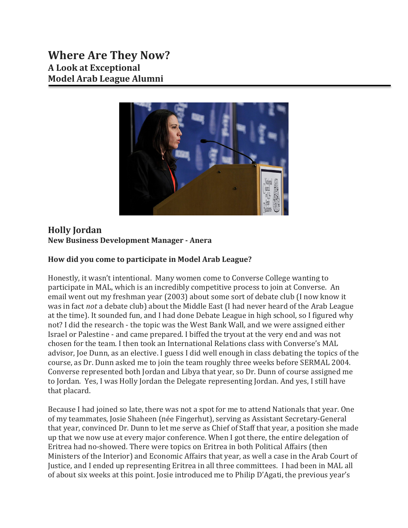

# **Holly Jordan New Business Development Manager - Anera**

# **How did you come to participate in Model Arab League?**

Honestly, it wasn't intentional. Many women come to Converse College wanting to participate in MAL, which is an incredibly competitive process to join at Converse. An email went out my freshman year (2003) about some sort of debate club (I now know it was in fact *not* a debate club) about the Middle East (I had never heard of the Arab League at the time). It sounded fun, and I had done Debate League in high school, so I figured why not? I did the research - the topic was the West Bank Wall, and we were assigned either Israel or Palestine - and came prepared. I biffed the tryout at the very end and was not chosen for the team. I then took an International Relations class with Converse's MAL advisor, Joe Dunn, as an elective. I guess I did well enough in class debating the topics of the course, as Dr. Dunn asked me to join the team roughly three weeks before SERMAL 2004. Converse represented both Jordan and Libya that year, so Dr. Dunn of course assigned me to Jordan. Yes, I was Holly Jordan the Delegate representing Jordan. And yes, I still have that placard.

Because I had joined so late, there was not a spot for me to attend Nationals that year. One of my teammates, Josie Shaheen (née Fingerhut), serving as Assistant Secretary-General that year, convinced Dr. Dunn to let me serve as Chief of Staff that year, a position she made up that we now use at every major conference. When I got there, the entire delegation of Eritrea had no-showed. There were topics on Eritrea in both Political Affairs (then Ministers of the Interior) and Economic Affairs that year, as well a case in the Arab Court of Justice, and I ended up representing Eritrea in all three committees. I had been in MAL all of about six weeks at this point. Josie introduced me to Philip D'Agati, the previous year's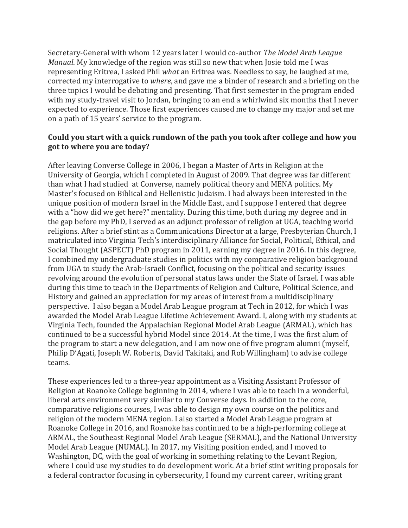Secretary-General with whom 12 years later I would co-author *The Model Arab League Manual*. My knowledge of the region was still so new that when Josie told me I was representing Eritrea, I asked Phil *what* an Eritrea was. Needless to say, he laughed at me, corrected my interrogative to *where*, and gave me a binder of research and a briefing on the three topics I would be debating and presenting. That first semester in the program ended with my study-travel visit to Jordan, bringing to an end a whirlwind six months that I never expected to experience. Those first experiences caused me to change my major and set me on a path of 15 years' service to the program.

## **Could you start with a quick rundown of the path you took after college and how you got to where you are today?**

After leaving Converse College in 2006, I began a Master of Arts in Religion at the University of Georgia, which I completed in August of 2009. That degree was far different than what I had studied at Converse, namely political theory and MENA politics. My Master's focused on Biblical and Hellenistic Judaism. I had always been interested in the unique position of modern Israel in the Middle East, and I suppose I entered that degree with a "how did we get here?" mentality. During this time, both during my degree and in the gap before my PhD, I served as an adjunct professor of religion at UGA, teaching world religions. After a brief stint as a Communications Director at a large, Presbyterian Church, I matriculated into Virginia Tech's interdisciplinary Alliance for Social, Political, Ethical, and Social Thought (ASPECT) PhD program in 2011, earning my degree in 2016. In this degree, I combined my undergraduate studies in politics with my comparative religion background from UGA to study the Arab-Israeli Conflict, focusing on the political and security issues revolving around the evolution of personal status laws under the State of Israel. I was able during this time to teach in the Departments of Religion and Culture, Political Science, and History and gained an appreciation for my areas of interest from a multidisciplinary perspective. I also began a Model Arab League program at Tech in 2012, for which I was awarded the Model Arab League Lifetime Achievement Award. I, along with my students at Virginia Tech, founded the Appalachian Regional Model Arab League (ARMAL), which has continued to be a successful hybrid Model since 2014. At the time, I was the first alum of the program to start a new delegation, and I am now one of five program alumni (myself, Philip D'Agati, Joseph W. Roberts, David Takitaki, and Rob Willingham) to advise college teams.

These experiences led to a three-year appointment as a Visiting Assistant Professor of Religion at Roanoke College beginning in 2014, where I was able to teach in a wonderful, liberal arts environment very similar to my Converse days. In addition to the core, comparative religions courses, I was able to design my own course on the politics and religion of the modern MENA region. I also started a Model Arab League program at Roanoke College in 2016, and Roanoke has continued to be a high-performing college at ARMAL, the Southeast Regional Model Arab League (SERMAL), and the National University Model Arab League (NUMAL). In 2017, my Visiting position ended, and I moved to Washington, DC, with the goal of working in something relating to the Levant Region, where I could use my studies to do development work. At a brief stint writing proposals for a federal contractor focusing in cybersecurity, I found my current career, writing grant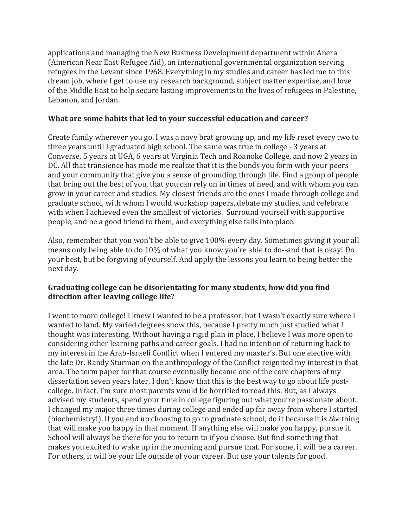applications and managing the New Business Development department within Anera (American Near East Refugee Aid), an international governmental organization serving refugees in the Levant since 1968. Everything in my studies and career has led me to this dream job, where I get to use my research background, subject matter expertise, and love of the Middle East to help secure lasting improvements to the lives of refugees in Palestine, Lebanon, and Jordan.

## **What are some habits that led to your successful education and career?**

Create family wherever you go. I was a navy brat growing up, and my life reset every two to three years until I graduated high school. The same was true in college - 3 years at Converse, 5 years at UGA, 6 years at Virginia Tech and Roanoke College, and now 2 years in DC. All that transience has made me realize that it is the bonds you form with your peers and your community that give you a sense of grounding through life. Find a group of people that bring out the best of you, that you can rely on in times of need, and with whom you can grow in your career and studies. My closest friends are the ones I made through college and graduate school, with whom I would workshop papers, debate my studies, and celebrate with when I achieved even the smallest of victories. Surround yourself with supportive people, and be a good friend to them, and everything else falls into place.

Also, remember that you won't be able to give 100% every day. Sometimes giving it your all means only being able to do 10% of what you know you're able to do--and that is okay! Do your best, but be forgiving of yourself. And apply the lessons you learn to being better the next day.

# **Graduating college can be disorientating for many students, how did you find direction after leaving college life?**

I went to more college! I knew I wanted to be a professor, but I wasn't exactly sure where I wanted to land. My varied degrees show this, because I pretty much just studied what I thought was interesting. Without having a rigid plan in place, I believe I was more open to considering other learning paths and career goals. I had no intention of returning back to my interest in the Arab-Israeli Conflict when I entered my master's. But one elective with the late Dr. Randy Sturman on the anthropology of the Conflict reignited my interest in that area. The term paper for that course eventually became one of the core chapters of my dissertation seven years later. I don't know that this is the best way to go about life postcollege. In fact, I'm sure most parents would be horrified to read this. But, as I always advised my students, spend your time in college figuring out what you're passionate about. I changed my major three times during college and ended up far away from where I started (biochemistry!). If you end up choosing to go to graduate school, do it because it is *the* thing that will make you happy in that moment. If anything else will make you happy, pursue it. School will always be there for you to return to if you choose. But find something that makes you excited to wake up in the morning and pursue that. For some, it will be a career. For others, it will be your life outside of your career. But use your talents for good.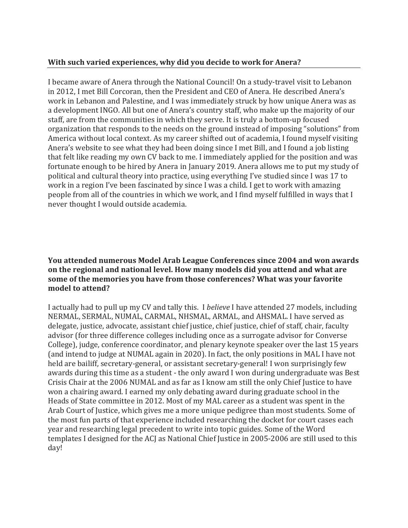#### **With such varied experiences, why did you decide to work for Anera?**

I became aware of Anera through the National Council! On a study-travel visit to Lebanon in 2012, I met Bill Corcoran, then the President and CEO of Anera. He described Anera's work in Lebanon and Palestine, and I was immediately struck by how unique Anera was as a development INGO. All but one of Anera's country staff, who make up the majority of our staff, are from the communities in which they serve. It is truly a bottom-up focused organization that responds to the needs on the ground instead of imposing "solutions" from America without local context. As my career shifted out of academia, I found myself visiting Anera's website to see what they had been doing since I met Bill, and I found a job listing that felt like reading my own CV back to me. I immediately applied for the position and was fortunate enough to be hired by Anera in January 2019. Anera allows me to put my study of political and cultural theory into practice, using everything I've studied since I was 17 to work in a region I've been fascinated by since I was a child. I get to work with amazing people from all of the countries in which we work, and I find myself fulfilled in ways that I never thought I would outside academia.

#### **You attended numerous Model Arab League Conferences since 2004 and won awards on the regional and national level. How many models did you attend and what are some of the memories you have from those conferences? What was your favorite model to attend?**

I actually had to pull up my CV and tally this. I *believe* I have attended 27 models, including NERMAL, SERMAL, NUMAL, CARMAL, NHSMAL, ARMAL, and AHSMAL. I have served as delegate, justice, advocate, assistant chief justice, chief justice, chief of staff, chair, faculty advisor (for three difference colleges including once as a surrogate advisor for Converse College), judge, conference coordinator, and plenary keynote speaker over the last 15 years (and intend to judge at NUMAL again in 2020). In fact, the only positions in MAL I have not held are bailiff, secretary-general, or assistant secretary-general! I won surprisingly few awards during this time as a student - the only award I won during undergraduate was Best Crisis Chair at the 2006 NUMAL and as far as I know am still the only Chief Justice to have won a chairing award. I earned my only debating award during graduate school in the Heads of State committee in 2012. Most of my MAL career as a student was spent in the Arab Court of Justice, which gives me a more unique pedigree than most students. Some of the most fun parts of that experience included researching the docket for court cases each year and researching legal precedent to write into topic guides. Some of the Word templates I designed for the ACJ as National Chief Justice in 2005-2006 are still used to this day!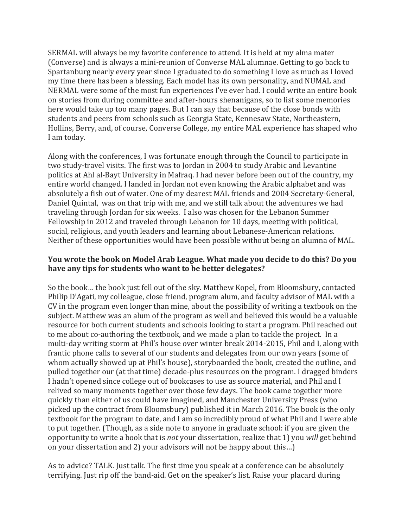SERMAL will always be my favorite conference to attend. It is held at my alma mater (Converse) and is always a mini-reunion of Converse MAL alumnae. Getting to go back to Spartanburg nearly every year since I graduated to do something I love as much as I loved my time there has been a blessing. Each model has its own personality, and NUMAL and NERMAL were some of the most fun experiences I've ever had. I could write an entire book on stories from during committee and after-hours shenanigans, so to list some memories here would take up too many pages. But I can say that because of the close bonds with students and peers from schools such as Georgia State, Kennesaw State, Northeastern, Hollins, Berry, and, of course, Converse College, my entire MAL experience has shaped who I am today.

Along with the conferences, I was fortunate enough through the Council to participate in two study-travel visits. The first was to Jordan in 2004 to study Arabic and Levantine politics at Ahl al-Bayt University in Mafraq. I had never before been out of the country, my entire world changed. I landed in Jordan not even knowing the Arabic alphabet and was absolutely a fish out of water. One of my dearest MAL friends and 2004 Secretary-General, Daniel Quintal, was on that trip with me, and we still talk about the adventures we had traveling through Jordan for six weeks. I also was chosen for the Lebanon Summer Fellowship in 2012 and traveled through Lebanon for 10 days, meeting with political, social, religious, and youth leaders and learning about Lebanese-American relations. Neither of these opportunities would have been possible without being an alumna of MAL.

## **You wrote the book on Model Arab League. What made you decide to do this? Do you have any tips for students who want to be better delegates?**

So the book… the book just fell out of the sky. Matthew Kopel, from Bloomsbury, contacted Philip D'Agati, my colleague, close friend, program alum, and faculty advisor of MAL with a CV in the program even longer than mine, about the possibility of writing a textbook on the subject. Matthew was an alum of the program as well and believed this would be a valuable resource for both current students and schools looking to start a program. Phil reached out to me about co-authoring the textbook, and we made a plan to tackle the project. In a multi-day writing storm at Phil's house over winter break 2014-2015, Phil and I, along with frantic phone calls to several of our students and delegates from our own years (some of whom actually showed up at Phil's house), storyboarded the book, created the outline, and pulled together our (at that time) decade-plus resources on the program. I dragged binders I hadn't opened since college out of bookcases to use as source material, and Phil and I relived so many moments together over those few days. The book came together more quickly than either of us could have imagined, and Manchester University Press (who picked up the contract from Bloomsbury) published it in March 2016. The book is the only textbook for the program to date, and I am so incredibly proud of what Phil and I were able to put together. (Though, as a side note to anyone in graduate school: if you are given the opportunity to write a book that is *not* your dissertation, realize that 1) you *will* get behind on your dissertation and 2) your advisors will not be happy about this…)

As to advice? TALK. Just talk. The first time you speak at a conference can be absolutely terrifying. Just rip off the band-aid. Get on the speaker's list. Raise your placard during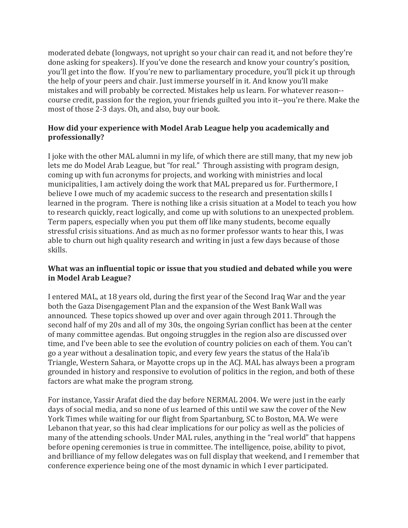moderated debate (longways, not upright so your chair can read it, and not before they're done asking for speakers). If you've done the research and know your country's position, you'll get into the flow. If you're new to parliamentary procedure, you'll pick it up through the help of your peers and chair. Just immerse yourself in it. And know you'll make mistakes and will probably be corrected. Mistakes help us learn. For whatever reason- course credit, passion for the region, your friends guilted you into it--you're there. Make the most of those 2-3 days. Oh, and also, buy our book.

# **How did your experience with Model Arab League help you academically and professionally?**

I joke with the other MAL alumni in my life, of which there are still many, that my new job lets me do Model Arab League, but "for real." Through assisting with program design, coming up with fun acronyms for projects, and working with ministries and local municipalities, I am actively doing the work that MAL prepared us for. Furthermore, I believe I owe much of my academic success to the research and presentation skills I learned in the program. There is nothing like a crisis situation at a Model to teach you how to research quickly, react logically, and come up with solutions to an unexpected problem. Term papers, especially when you put them off like many students, become equally stressful crisis situations. And as much as no former professor wants to hear this, I was able to churn out high quality research and writing in just a few days because of those skills.

## **What was an influential topic or issue that you studied and debated while you were in Model Arab League?**

I entered MAL, at 18 years old, during the first year of the Second Iraq War and the year both the Gaza Disengagement Plan and the expansion of the West Bank Wall was announced. These topics showed up over and over again through 2011. Through the second half of my 20s and all of my 30s, the ongoing Syrian conflict has been at the center of many committee agendas. But ongoing struggles in the region also are discussed over time, and I've been able to see the evolution of country policies on each of them. You can't go a year without a desalination topic, and every few years the status of the Hala'ib Triangle, Western Sahara, or Mayotte crops up in the ACJ. MAL has always been a program grounded in history and responsive to evolution of politics in the region, and both of these factors are what make the program strong.

For instance, Yassir Arafat died the day before NERMAL 2004. We were just in the early days of social media, and so none of us learned of this until we saw the cover of the New York Times while waiting for our flight from Spartanburg, SC to Boston, MA. We were Lebanon that year, so this had clear implications for our policy as well as the policies of many of the attending schools. Under MAL rules, anything in the "real world" that happens before opening ceremonies is true in committee. The intelligence, poise, ability to pivot, and brilliance of my fellow delegates was on full display that weekend, and I remember that conference experience being one of the most dynamic in which I ever participated.